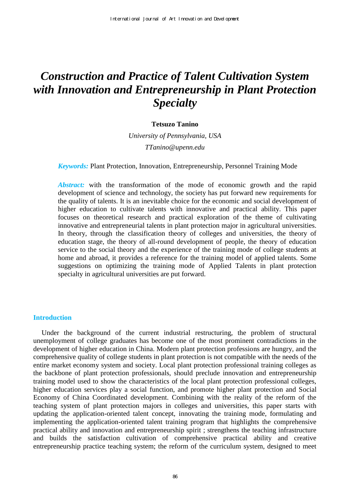# *Construction and Practice of Talent Cultivation System with Innovation and Entrepreneurship in Plant Protection Specialty*

#### **Tetsuzo Tanino**

*University of Pennsylvania, USA TTanino@upenn.edu* 

*Keywords:* Plant Protection, Innovation, Entrepreneurship, Personnel Training Mode

*Abstract:* with the transformation of the mode of economic growth and the rapid development of science and technology, the society has put forward new requirements for the quality of talents. It is an inevitable choice for the economic and social development of higher education to cultivate talents with innovative and practical ability. This paper focuses on theoretical research and practical exploration of the theme of cultivating innovative and entrepreneurial talents in plant protection major in agricultural universities. In theory, through the classification theory of colleges and universities, the theory of education stage, the theory of all-round development of people, the theory of education service to the social theory and the experience of the training mode of college students at home and abroad, it provides a reference for the training model of applied talents. Some suggestions on optimizing the training mode of Applied Talents in plant protection specialty in agricultural universities are put forward.

# **Introduction**

Under the background of the current industrial restructuring, the problem of structural unemployment of college graduates has become one of the most prominent contradictions in the development of higher education in China. Modern plant protection professions are hungry, and the comprehensive quality of college students in plant protection is not compatible with the needs of the entire market economy system and society. Local plant protection professional training colleges as the backbone of plant protection professionals, should preclude innovation and entrepreneurship training model used to show the characteristics of the local plant protection professional colleges, higher education services play a social function, and promote higher plant protection and Social Economy of China Coordinated development. Combining with the reality of the reform of the teaching system of plant protection majors in colleges and universities, this paper starts with updating the application-oriented talent concept, innovating the training mode, formulating and implementing the application-oriented talent training program that highlights the comprehensive practical ability and innovation and entrepreneurship spirit ; strengthens the teaching infrastructure and builds the satisfaction cultivation of comprehensive practical ability and creative entrepreneurship practice teaching system; the reform of the curriculum system, designed to meet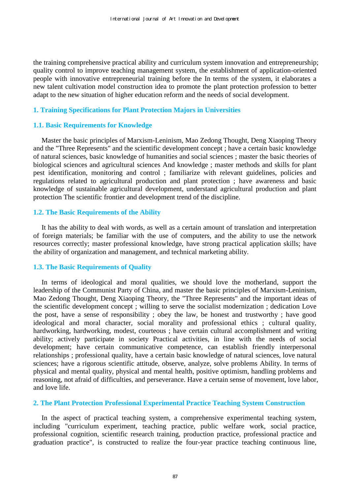the training comprehensive practical ability and curriculum system innovation and entrepreneurship; quality control to improve teaching management system, the establishment of application-oriented people with innovative entrepreneurial training before the In terms of the system, it elaborates a new talent cultivation model construction idea to promote the plant protection profession to better adapt to the new situation of higher education reform and the needs of social development.

# **1. Training Specifications for Plant Protection Majors in Universities**

# **1.1. Basic Requirements for Knowledge**

Master the basic principles of Marxism-Leninism, Mao Zedong Thought, Deng Xiaoping Theory and the "Three Represents" and the scientific development concept ; have a certain basic knowledge of natural sciences, basic knowledge of humanities and social sciences ; master the basic theories of biological sciences and agricultural sciences And knowledge ; master methods and skills for plant pest identification, monitoring and control ; familiarize with relevant guidelines, policies and regulations related to agricultural production and plant protection ; have awareness and basic knowledge of sustainable agricultural development, understand agricultural production and plant protection The scientific frontier and development trend of the discipline.

## **1.2. The Basic Requirements of the Ability**

It has the ability to deal with words, as well as a certain amount of translation and interpretation of foreign materials; be familiar with the use of computers, and the ability to use the network resources correctly; master professional knowledge, have strong practical application skills; have the ability of organization and management, and technical marketing ability.

# **1.3. The Basic Requirements of Quality**

In terms of ideological and moral qualities, we should love the motherland, support the leadership of the Communist Party of China, and master the basic principles of Marxism-Leninism, Mao Zedong Thought, Deng Xiaoping Theory, the "Three Represents" and the important ideas of the scientific development concept ; willing to serve the socialist modernization ; dedication Love the post, have a sense of responsibility ; obey the law, be honest and trustworthy ; have good ideological and moral character, social morality and professional ethics ; cultural quality, hardworking, hardworking, modest, courteous ; have certain cultural accomplishment and writing ability; actively participate in society Practical activities, in line with the needs of social development; have certain communicative competence, can establish friendly interpersonal relationships ; professional quality, have a certain basic knowledge of natural sciences, love natural sciences; have a rigorous scientific attitude, observe, analyze, solve problems Ability. In terms of physical and mental quality, physical and mental health, positive optimism, handling problems and reasoning, not afraid of difficulties, and perseverance. Have a certain sense of movement, love labor, and love life.

## **2. The Plant Protection Professional Experimental Practice Teaching System Construction**

In the aspect of practical teaching system, a comprehensive experimental teaching system, including "curriculum experiment, teaching practice, public welfare work, social practice, professional cognition, scientific research training, production practice, professional practice and graduation practice", is constructed to realize the four-year practice teaching continuous line,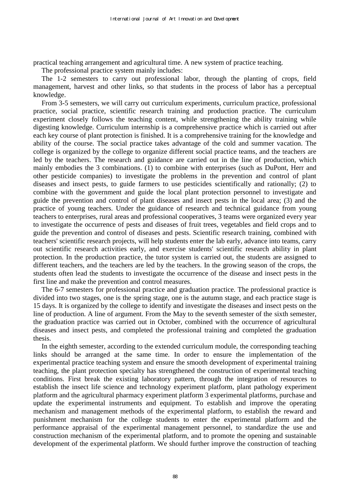practical teaching arrangement and agricultural time. A new system of practice teaching.

The professional practice system mainly includes:

The 1-2 semesters to carry out professional labor, through the planting of crops, field management, harvest and other links, so that students in the process of labor has a perceptual knowledge.

From 3-5 semesters, we will carry out curriculum experiments, curriculum practice, professional practice, social practice, scientific research training and production practice. The curriculum experiment closely follows the teaching content, while strengthening the ability training while digesting knowledge. Curriculum internship is a comprehensive practice which is carried out after each key course of plant protection is finished. It is a comprehensive training for the knowledge and ability of the course. The social practice takes advantage of the cold and summer vacation. The college is organized by the college to organize different social practice teams, and the teachers are led by the teachers. The research and guidance are carried out in the line of production, which mainly embodies the 3 combinations. (1) to combine with enterprises (such as DuPont, Herr and other pesticide companies) to investigate the problems in the prevention and control of plant diseases and insect pests, to guide farmers to use pesticides scientifically and rationally; (2) to combine with the government and guide the local plant protection personnel to investigate and guide the prevention and control of plant diseases and insect pests in the local area; (3) and the practice of young teachers. Under the guidance of research and technical guidance from young teachers to enterprises, rural areas and professional cooperatives, 3 teams were organized every year to investigate the occurrence of pests and diseases of fruit trees, vegetables and field crops and to guide the prevention and control of diseases and pests. Scientific research training, combined with teachers' scientific research projects, will help students enter the lab early, advance into teams, carry out scientific research activities early, and exercise students' scientific research ability in plant protection. In the production practice, the tutor system is carried out, the students are assigned to different teachers, and the teachers are led by the teachers. In the growing season of the crops, the students often lead the students to investigate the occurrence of the disease and insect pests in the first line and make the prevention and control measures.

The 6-7 semesters for professional practice and graduation practice. The professional practice is divided into two stages, one is the spring stage, one is the autumn stage, and each practice stage is 15 days. It is organized by the college to identify and investigate the diseases and insect pests on the line of production. A line of argument. From the May to the seventh semester of the sixth semester, the graduation practice was carried out in October, combined with the occurrence of agricultural diseases and insect pests, and completed the professional training and completed the graduation thesis.

In the eighth semester, according to the extended curriculum module, the corresponding teaching links should be arranged at the same time. In order to ensure the implementation of the experimental practice teaching system and ensure the smooth development of experimental training teaching, the plant protection specialty has strengthened the construction of experimental teaching conditions. First break the existing laboratory pattern, through the integration of resources to establish the insect life science and technology experiment platform, plant pathology experiment platform and the agricultural pharmacy experiment platform 3 experimental platforms, purchase and update the experimental instruments and equipment. To establish and improve the operating mechanism and management methods of the experimental platform, to establish the reward and punishment mechanism for the college students to enter the experimental platform and the performance appraisal of the experimental management personnel, to standardize the use and construction mechanism of the experimental platform, and to promote the opening and sustainable development of the experimental platform. We should further improve the construction of teaching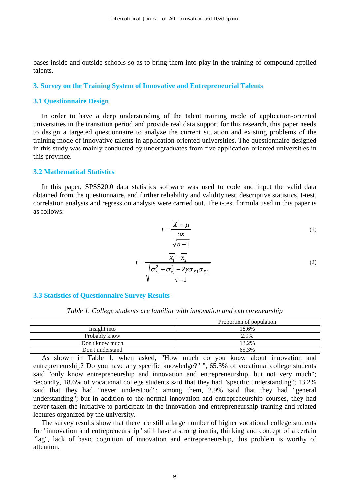bases inside and outside schools so as to bring them into play in the training of compound applied talents.

### **3. Survey on the Training System of Innovative and Entrepreneurial Talents**

# **3.1 Questionnaire Design**

In order to have a deep understanding of the talent training mode of application-oriented universities in the transition period and provide real data support for this research, this paper needs to design a targeted questionnaire to analyze the current situation and existing problems of the training mode of innovative talents in application-oriented universities. The questionnaire designed in this study was mainly conducted by undergraduates from five application-oriented universities in this province.

#### **3.2 Mathematical Statistics**

In this paper, SPSS20.0 data statistics software was used to code and input the valid data obtained from the questionnaire, and further reliability and validity test, descriptive statistics, t-test, correlation analysis and regression analysis were carried out. The t-test formula used in this paper is as follows:

$$
t = \frac{\overline{X} - \mu}{\frac{\sigma x}{\sqrt{n-1}}} \tag{1}
$$

$$
t = \frac{\overline{x_1} - \overline{x_2}}{\sqrt{\frac{{\sigma_{x_1}^2 + \sigma_{x_2}^2 - 2\gamma\sigma_{x_1}\sigma_{x_2}}{n-1}}}
$$
 (2)

#### **3.3 Statistics of Questionnaire Survey Results**

|                  | Proportion of population |
|------------------|--------------------------|
| Insight into     | 18.6%                    |
| Probably know    | 2.9%                     |
| Don't know much  | 13.2%                    |
| Don't understand | 65.3%                    |

*Table 1. College students are familiar with innovation and entrepreneurship* 

As shown in Table 1, when asked, "How much do you know about innovation and entrepreneurship? Do you have any specific knowledge?" ", 65.3% of vocational college students said "only know entrepreneurship and innovation and entrepreneurship, but not very much"; Secondly, 18.6% of vocational college students said that they had "specific understanding"; 13.2% said that they had "never understood"; among them, 2.9% said that they had "general understanding"; but in addition to the normal innovation and entrepreneurship courses, they had never taken the initiative to participate in the innovation and entrepreneurship training and related lectures organized by the university.

The survey results show that there are still a large number of higher vocational college students for "innovation and entrepreneurship" still have a strong inertia, thinking and concept of a certain "lag", lack of basic cognition of innovation and entrepreneurship, this problem is worthy of attention.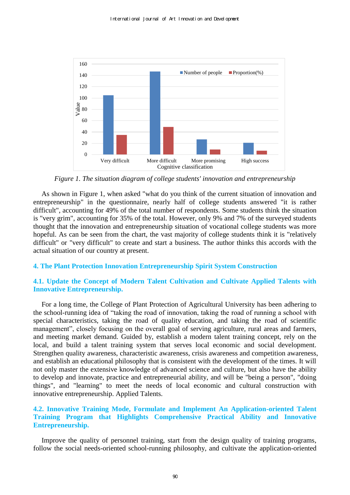

*Figure 1. The situation diagram of college students' innovation and entrepreneurship* 

As shown in Figure 1, when asked "what do you think of the current situation of innovation and entrepreneurship" in the questionnaire, nearly half of college students answered "it is rather difficult", accounting for 49% of the total number of respondents. Some students think the situation is "very grim", accounting for 35% of the total. However, only 9% and 7% of the surveyed students thought that the innovation and entrepreneurship situation of vocational college students was more hopeful. As can be seen from the chart, the vast majority of college students think it is "relatively difficult" or "very difficult" to create and start a business. The author thinks this accords with the actual situation of our country at present.

# **4. The Plant Protection Innovation Entrepreneurship Spirit System Construction**

# **4.1. Update the Concept of Modern Talent Cultivation and Cultivate Applied Talents with Innovative Entrepreneurship.**

For a long time, the College of Plant Protection of Agricultural University has been adhering to the school-running idea of "taking the road of innovation, taking the road of running a school with special characteristics, taking the road of quality education, and taking the road of scientific management", closely focusing on the overall goal of serving agriculture, rural areas and farmers, and meeting market demand. Guided by, establish a modern talent training concept, rely on the local, and build a talent training system that serves local economic and social development. Strengthen quality awareness, characteristic awareness, crisis awareness and competition awareness, and establish an educational philosophy that is consistent with the development of the times. It will not only master the extensive knowledge of advanced science and culture, but also have the ability to develop and innovate, practice and entrepreneurial ability, and will be "being a person", "doing things", and "learning" to meet the needs of local economic and cultural construction with innovative entrepreneurship. Applied Talents.

# **4.2. Innovative Training Mode, Formulate and Implement An Application-oriented Talent Training Program that Highlights Comprehensive Practical Ability and Innovative Entrepreneurship.**

Improve the quality of personnel training, start from the design quality of training programs, follow the social needs-oriented school-running philosophy, and cultivate the application-oriented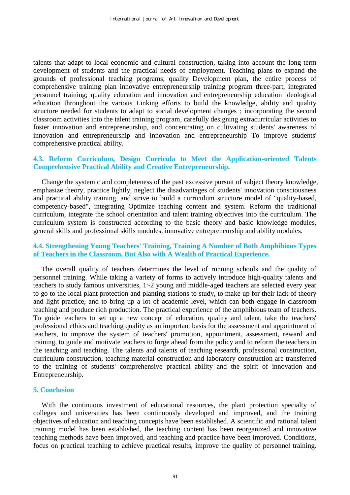talents that adapt to local economic and cultural construction, taking into account the long-term development of students and the practical needs of employment. Teaching plans to expand the grounds of professional teaching programs, quality Development plan, the entire process of comprehensive training plan innovative entrepreneurship training program three-part, integrated personnel training; quality education and innovation and entrepreneurship education ideological education throughout the various Linking efforts to build the knowledge, ability and quality structure needed for students to adapt to social development changes ; incorporating the second classroom activities into the talent training program, carefully designing extracurricular activities to foster innovation and entrepreneurship, and concentrating on cultivating students' awareness of innovation and entrepreneurship and innovation and entrepreneurship To improve students' comprehensive practical ability.

# **4.3. Reform Curriculum, Design Curricula to Meet the Application-oriented Talents Comprehensive Practical Ability and Creative Entrepreneurship.**

Change the systemic and completeness of the past excessive pursuit of subject theory knowledge, emphasize theory, practice lightly, neglect the disadvantages of students' innovation consciousness and practical ability training, and strive to build a curriculum structure model of "quality-based, competency-based", integrating Optimize teaching content and system. Reform the traditional curriculum, integrate the school orientation and talent training objectives into the curriculum. The curriculum system is constructed according to the basic theory and basic knowledge modules, general skills and professional skills modules, innovative entrepreneurship and ability modules.

# **4.4. Strengthening Young Teachers' Training, Training A Number of Both Amphibious Types of Teachers in the Classroom, But Also with A Wealth of Practical Experience.**

The overall quality of teachers determines the level of running schools and the quality of personnel training. While taking a variety of forms to actively introduce high-quality talents and teachers to study famous universities,  $1 \sim 2$  young and middle-aged teachers are selected every year to go to the local plant protection and planting stations to study, to make up for their lack of theory and light practice, and to bring up a lot of academic level, which can both engage in classroom teaching and produce rich production. The practical experience of the amphibious team of teachers. To guide teachers to set up a new concept of education, quality and talent, take the teachers' professional ethics and teaching quality as an important basis for the assessment and appointment of teachers, to improve the system of teachers' promotion, appointment, assessment, reward and training, to guide and motivate teachers to forge ahead from the policy and to reform the teachers in the teaching and teaching. The talents and talents of teaching research, professional construction, curriculum construction, teaching material construction and laboratory construction are transferred to the training of students' comprehensive practical ability and the spirit of innovation and Entrepreneurship.

# **5. Conclusion**

With the continuous investment of educational resources, the plant protection specialty of colleges and universities has been continuously developed and improved, and the training objectives of education and teaching concepts have been established. A scientific and rational talent training model has been established, the teaching content has been reorganized and innovative teaching methods have been improved, and teaching and practice have been improved. Conditions, focus on practical teaching to achieve practical results, improve the quality of personnel training.